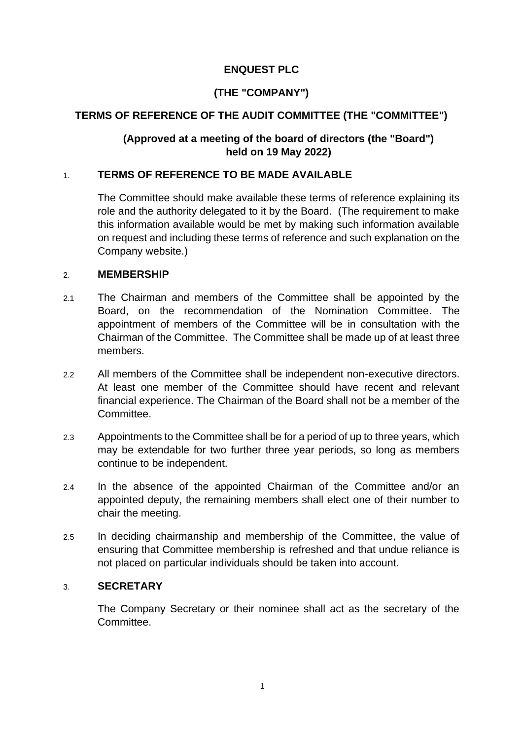# **ENQUEST PLC**

# **(THE "COMPANY")**

# **TERMS OF REFERENCE OF THE AUDIT COMMITTEE (THE "COMMITTEE")**

# **(Approved at a meeting of the board of directors (the "Board") held on 19 May 2022)**

### 1. **TERMS OF REFERENCE TO BE MADE AVAILABLE**

The Committee should make available these terms of reference explaining its role and the authority delegated to it by the Board. (The requirement to make this information available would be met by making such information available on request and including these terms of reference and such explanation on the Company website.)

#### 2. **MEMBERSHIP**

- 2.1 The Chairman and members of the Committee shall be appointed by the Board, on the recommendation of the Nomination Committee. The appointment of members of the Committee will be in consultation with the Chairman of the Committee. The Committee shall be made up of at least three members.
- 2.2 All members of the Committee shall be independent non-executive directors. At least one member of the Committee should have recent and relevant financial experience. The Chairman of the Board shall not be a member of the **Committee.**
- 2.3 Appointments to the Committee shall be for a period of up to three years, which may be extendable for two further three year periods, so long as members continue to be independent.
- 2.4 In the absence of the appointed Chairman of the Committee and/or an appointed deputy, the remaining members shall elect one of their number to chair the meeting.
- 2.5 In deciding chairmanship and membership of the Committee, the value of ensuring that Committee membership is refreshed and that undue reliance is not placed on particular individuals should be taken into account.

#### 3. **SECRETARY**

The Company Secretary or their nominee shall act as the secretary of the Committee.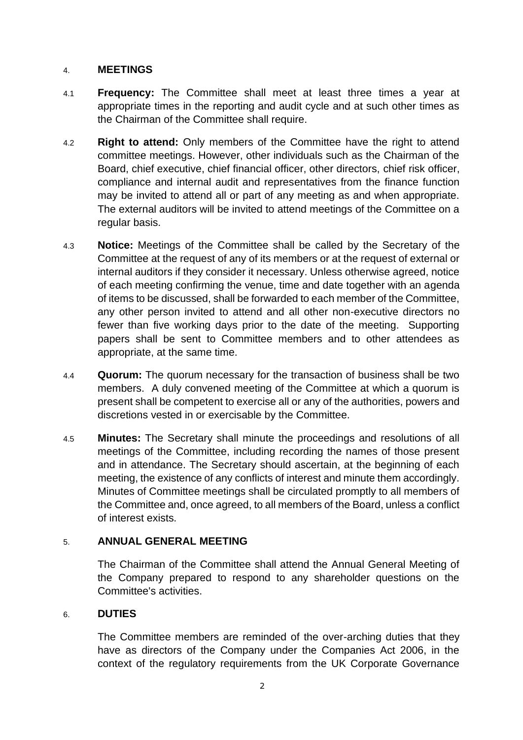#### 4. **MEETINGS**

- 4.1 **Frequency:** The Committee shall meet at least three times a year at appropriate times in the reporting and audit cycle and at such other times as the Chairman of the Committee shall require.
- 4.2 **Right to attend:** Only members of the Committee have the right to attend committee meetings. However, other individuals such as the Chairman of the Board, chief executive, chief financial officer, other directors, chief risk officer, compliance and internal audit and representatives from the finance function may be invited to attend all or part of any meeting as and when appropriate. The external auditors will be invited to attend meetings of the Committee on a regular basis.
- 4.3 **Notice:** Meetings of the Committee shall be called by the Secretary of the Committee at the request of any of its members or at the request of external or internal auditors if they consider it necessary. Unless otherwise agreed, notice of each meeting confirming the venue, time and date together with an agenda of items to be discussed, shall be forwarded to each member of the Committee, any other person invited to attend and all other non-executive directors no fewer than five working days prior to the date of the meeting. Supporting papers shall be sent to Committee members and to other attendees as appropriate, at the same time.
- 4.4 **Quorum:** The quorum necessary for the transaction of business shall be two members. A duly convened meeting of the Committee at which a quorum is present shall be competent to exercise all or any of the authorities, powers and discretions vested in or exercisable by the Committee.
- 4.5 **Minutes:** The Secretary shall minute the proceedings and resolutions of all meetings of the Committee, including recording the names of those present and in attendance. The Secretary should ascertain, at the beginning of each meeting, the existence of any conflicts of interest and minute them accordingly. Minutes of Committee meetings shall be circulated promptly to all members of the Committee and, once agreed, to all members of the Board, unless a conflict of interest exists.

#### 5. **ANNUAL GENERAL MEETING**

The Chairman of the Committee shall attend the Annual General Meeting of the Company prepared to respond to any shareholder questions on the Committee's activities.

### 6. **DUTIES**

The Committee members are reminded of the over-arching duties that they have as directors of the Company under the Companies Act 2006, in the context of the regulatory requirements from the UK Corporate Governance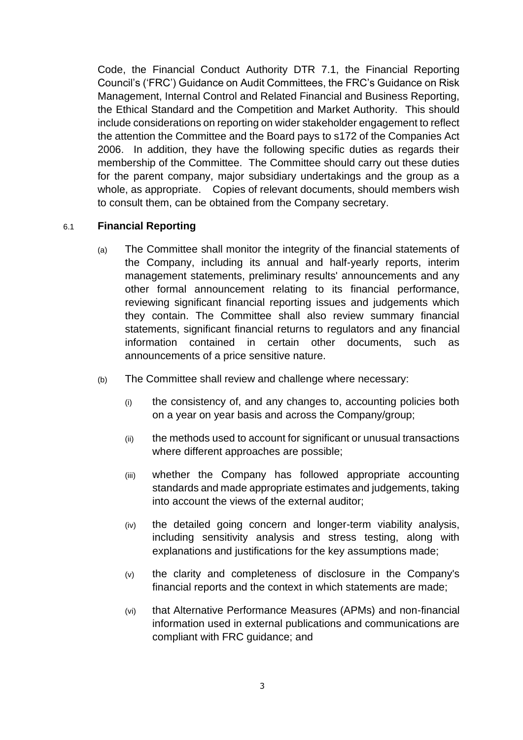Code, the Financial Conduct Authority DTR 7.1, the Financial Reporting Council's ('FRC') Guidance on Audit Committees, the FRC's Guidance on Risk Management, Internal Control and Related Financial and Business Reporting, the Ethical Standard and the Competition and Market Authority. This should include considerations on reporting on wider stakeholder engagement to reflect the attention the Committee and the Board pays to s172 of the Companies Act 2006. In addition, they have the following specific duties as regards their membership of the Committee. The Committee should carry out these duties for the parent company, major subsidiary undertakings and the group as a whole, as appropriate. Copies of relevant documents, should members wish to consult them, can be obtained from the Company secretary.

# 6.1 **Financial Reporting**

- (a) The Committee shall monitor the integrity of the financial statements of the Company, including its annual and half-yearly reports, interim management statements, preliminary results' announcements and any other formal announcement relating to its financial performance, reviewing significant financial reporting issues and judgements which they contain. The Committee shall also review summary financial statements, significant financial returns to regulators and any financial information contained in certain other documents, such as announcements of a price sensitive nature.
- (b) The Committee shall review and challenge where necessary:
	- (i) the consistency of, and any changes to, accounting policies both on a year on year basis and across the Company/group;
	- (ii) the methods used to account for significant or unusual transactions where different approaches are possible;
	- (iii) whether the Company has followed appropriate accounting standards and made appropriate estimates and judgements, taking into account the views of the external auditor;
	- (iv) the detailed going concern and longer-term viability analysis, including sensitivity analysis and stress testing, along with explanations and justifications for the key assumptions made;
	- (v) the clarity and completeness of disclosure in the Company's financial reports and the context in which statements are made;
	- (vi) that Alternative Performance Measures (APMs) and non-financial information used in external publications and communications are compliant with FRC guidance; and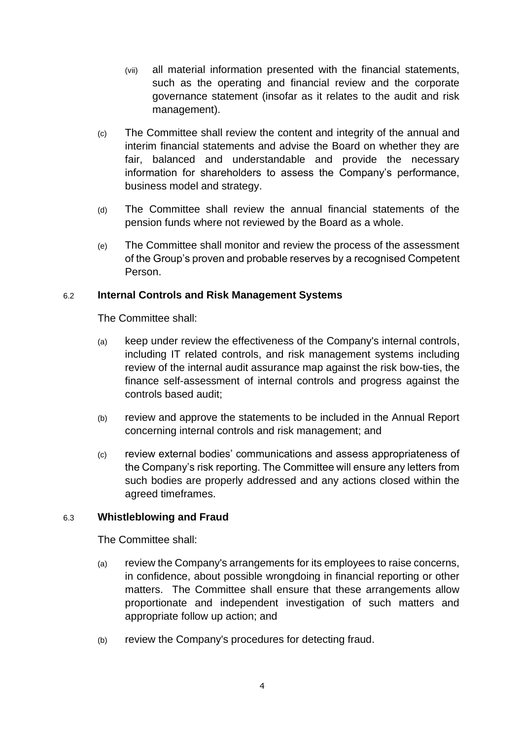- (vii) all material information presented with the financial statements, such as the operating and financial review and the corporate governance statement (insofar as it relates to the audit and risk management).
- (c) The Committee shall review the content and integrity of the annual and interim financial statements and advise the Board on whether they are fair, balanced and understandable and provide the necessary information for shareholders to assess the Company's performance, business model and strategy.
- (d) The Committee shall review the annual financial statements of the pension funds where not reviewed by the Board as a whole.
- (e) The Committee shall monitor and review the process of the assessment of the Group's proven and probable reserves by a recognised Competent Person.

# 6.2 **Internal Controls and Risk Management Systems**

The Committee shall:

- (a) keep under review the effectiveness of the Company's internal controls, including IT related controls, and risk management systems including review of the internal audit assurance map against the risk bow-ties, the finance self-assessment of internal controls and progress against the controls based audit;
- (b) review and approve the statements to be included in the Annual Report concerning internal controls and risk management; and
- (c) review external bodies' communications and assess appropriateness of the Company's risk reporting. The Committee will ensure any letters from such bodies are properly addressed and any actions closed within the agreed timeframes.

#### 6.3 **Whistleblowing and Fraud**

The Committee shall:

- (a) review the Company's arrangements for its employees to raise concerns, in confidence, about possible wrongdoing in financial reporting or other matters. The Committee shall ensure that these arrangements allow proportionate and independent investigation of such matters and appropriate follow up action; and
- (b) review the Company's procedures for detecting fraud.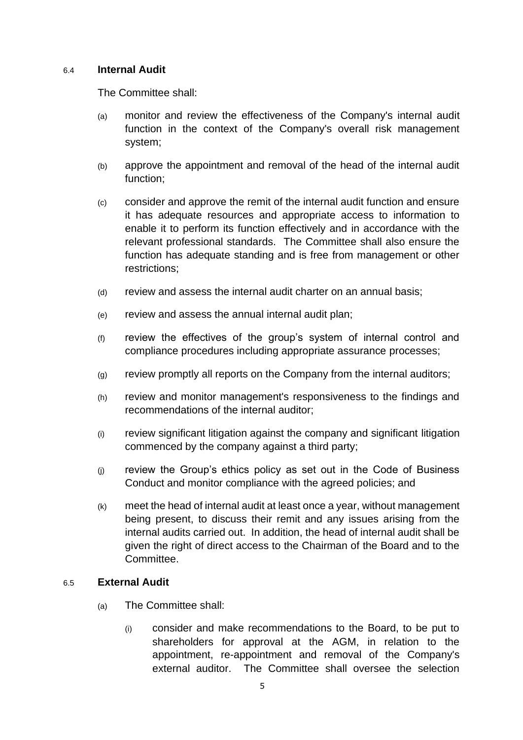#### 6.4 **Internal Audit**

The Committee shall:

- (a) monitor and review the effectiveness of the Company's internal audit function in the context of the Company's overall risk management system;
- (b) approve the appointment and removal of the head of the internal audit function;
- (c) consider and approve the remit of the internal audit function and ensure it has adequate resources and appropriate access to information to enable it to perform its function effectively and in accordance with the relevant professional standards. The Committee shall also ensure the function has adequate standing and is free from management or other restrictions;
- (d) review and assess the internal audit charter on an annual basis;
- (e) review and assess the annual internal audit plan;
- (f) review the effectives of the group's system of internal control and compliance procedures including appropriate assurance processes;
- (g) review promptly all reports on the Company from the internal auditors;
- (h) review and monitor management's responsiveness to the findings and recommendations of the internal auditor;
- (i) review significant litigation against the company and significant litigation commenced by the company against a third party;
- (j) review the Group's ethics policy as set out in the Code of Business Conduct and monitor compliance with the agreed policies; and
- (k) meet the head of internal audit at least once a year, without management being present, to discuss their remit and any issues arising from the internal audits carried out. In addition, the head of internal audit shall be given the right of direct access to the Chairman of the Board and to the Committee.

#### 6.5 **External Audit**

- (a) The Committee shall:
	- (i) consider and make recommendations to the Board, to be put to shareholders for approval at the AGM, in relation to the appointment, re-appointment and removal of the Company's external auditor. The Committee shall oversee the selection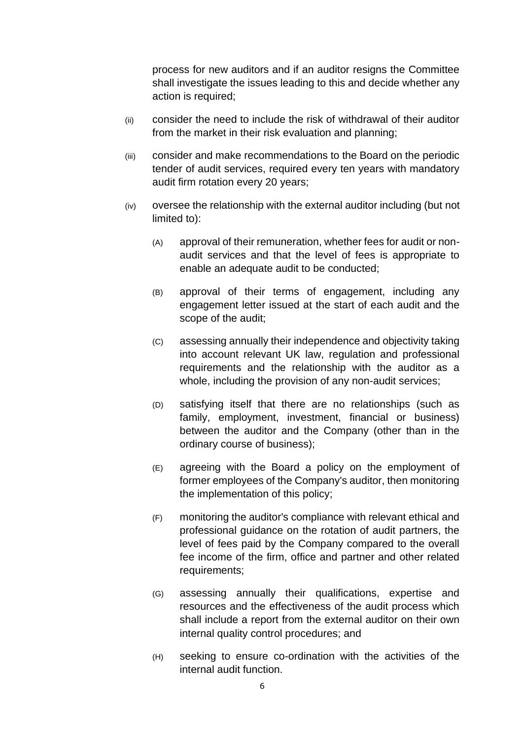process for new auditors and if an auditor resigns the Committee shall investigate the issues leading to this and decide whether any action is required;

- (ii) consider the need to include the risk of withdrawal of their auditor from the market in their risk evaluation and planning;
- (iii) consider and make recommendations to the Board on the periodic tender of audit services, required every ten years with mandatory audit firm rotation every 20 years;
- (iv) oversee the relationship with the external auditor including (but not limited to):
	- (A) approval of their remuneration, whether fees for audit or nonaudit services and that the level of fees is appropriate to enable an adequate audit to be conducted;
	- (B) approval of their terms of engagement, including any engagement letter issued at the start of each audit and the scope of the audit;
	- (C) assessing annually their independence and objectivity taking into account relevant UK law, regulation and professional requirements and the relationship with the auditor as a whole, including the provision of any non-audit services;
	- (D) satisfying itself that there are no relationships (such as family, employment, investment, financial or business) between the auditor and the Company (other than in the ordinary course of business);
	- (E) agreeing with the Board a policy on the employment of former employees of the Company's auditor, then monitoring the implementation of this policy;
	- (F) monitoring the auditor's compliance with relevant ethical and professional guidance on the rotation of audit partners, the level of fees paid by the Company compared to the overall fee income of the firm, office and partner and other related requirements;
	- (G) assessing annually their qualifications, expertise and resources and the effectiveness of the audit process which shall include a report from the external auditor on their own internal quality control procedures; and
	- (H) seeking to ensure co-ordination with the activities of the internal audit function.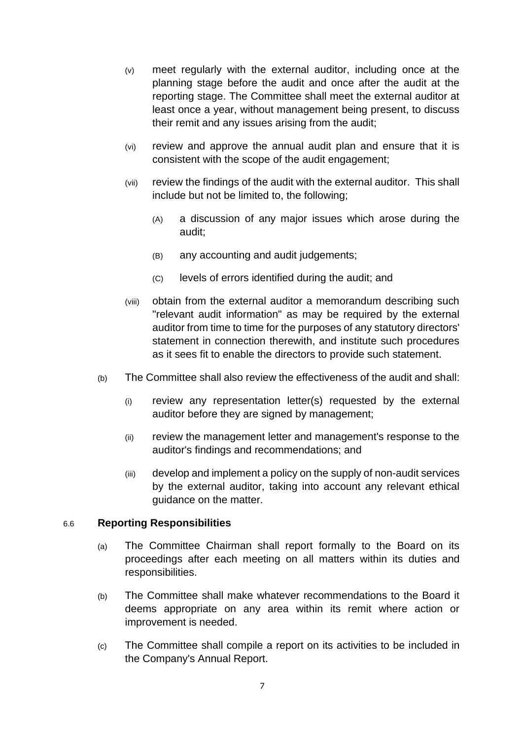- (v) meet regularly with the external auditor, including once at the planning stage before the audit and once after the audit at the reporting stage. The Committee shall meet the external auditor at least once a year, without management being present, to discuss their remit and any issues arising from the audit;
- (vi) review and approve the annual audit plan and ensure that it is consistent with the scope of the audit engagement;
- (vii) review the findings of the audit with the external auditor. This shall include but not be limited to, the following;
	- (A) a discussion of any major issues which arose during the audit;
	- (B) any accounting and audit judgements;
	- (C) levels of errors identified during the audit; and
- (viii) obtain from the external auditor a memorandum describing such "relevant audit information" as may be required by the external auditor from time to time for the purposes of any statutory directors' statement in connection therewith, and institute such procedures as it sees fit to enable the directors to provide such statement.
- (b) The Committee shall also review the effectiveness of the audit and shall:
	- (i) review any representation letter(s) requested by the external auditor before they are signed by management;
	- (ii) review the management letter and management's response to the auditor's findings and recommendations; and
	- (iii) develop and implement a policy on the supply of non-audit services by the external auditor, taking into account any relevant ethical guidance on the matter.

#### 6.6 **Reporting Responsibilities**

- (a) The Committee Chairman shall report formally to the Board on its proceedings after each meeting on all matters within its duties and responsibilities.
- (b) The Committee shall make whatever recommendations to the Board it deems appropriate on any area within its remit where action or improvement is needed.
- (c) The Committee shall compile a report on its activities to be included in the Company's Annual Report.